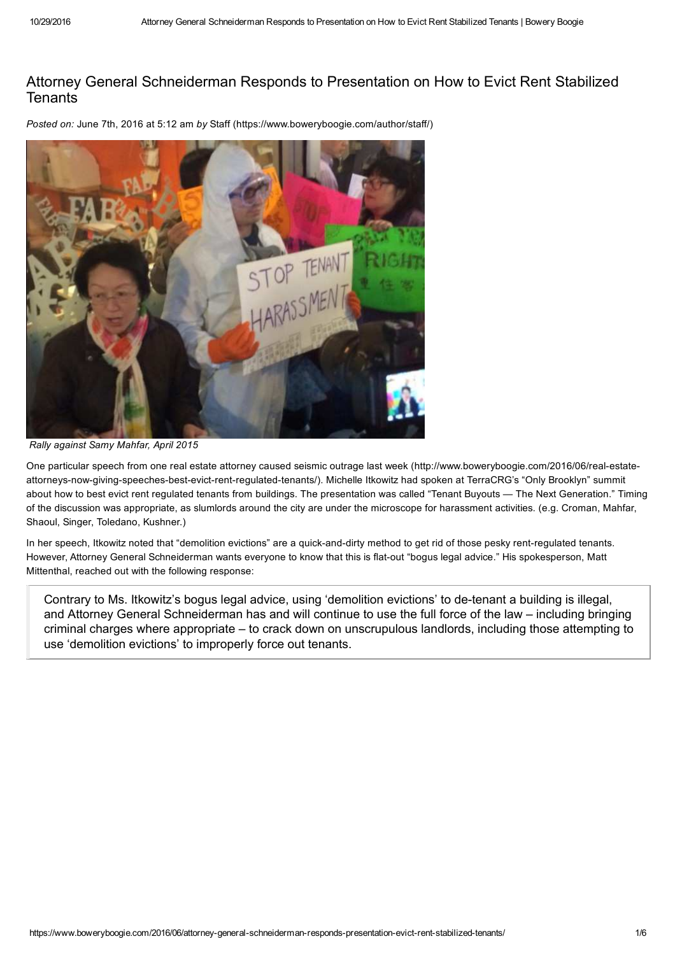## Attorney General Schneiderman Responds to Presentation on How to Evict Rent Stabilized **Tenants**

*Posted on:* June 7th, 2016 at 5:12 am *by* Staff (https://www.boweryboogie.com/author/staff/)



*Rally against Samy Mahfar, April 2015*

One particular speech from one real estate attorney caused seismic outrage last week (http://www.boweryboogie.com/2016/06/real-estateattorneys-now-giving-speeches-best-evict-rent-regulated-tenants/). Michelle Itkowitz had spoken at TerraCRG's "Only Brooklyn" summit about how to best evict rent regulated tenants from buildings. The presentation was called "Tenant Buyouts — The Next Generation." Timing of the discussion was appropriate, as slumlords around the city are under the microscope for harassment activities. (e.g. Croman, Mahfar, Shaoul, Singer, Toledano, Kushner.)

In her speech, Itkowitz noted that "demolition evictions" are a quick-and-dirty method to get rid of those pesky rent-regulated tenants. However, Attorney General Schneiderman wants everyone to know that this is flat-out "bogus legal advice." His spokesperson, Matt Mittenthal, reached out with the following response:

Contrary to Ms. Itkowitz's bogus legal advice, using 'demolition evictions' to de-tenant a building is illegal, and Attorney General Schneiderman has and will continue to use the full force of the law – including bringing criminal charges where appropriate – to crack down on unscrupulous landlords, including those attempting to use 'demolition evictions' to improperly force out tenants.